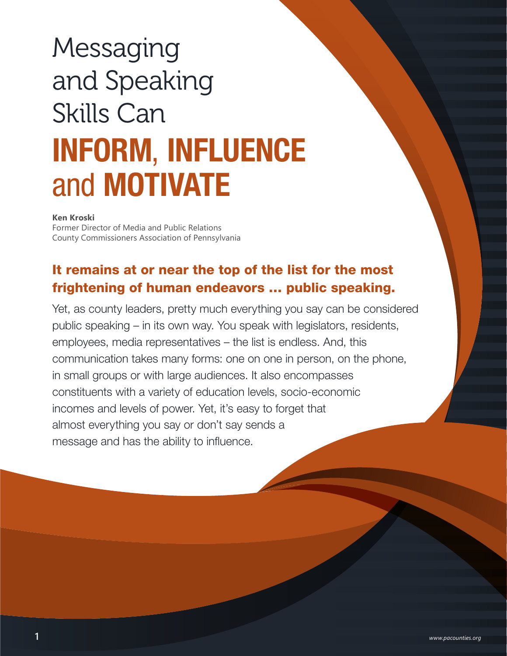# **Messaging** and Speaking Skills Can INFORM, INFLUENCE and MOTIVATE

**Ken Kroski**

Former Director of Media and Public Relations County Commissioners Association of Pennsylvania

# It remains at or near the top of the list for the most frightening of human endeavors … public speaking.

Yet, as county leaders, pretty much everything you say can be considered public speaking – in its own way. You speak with legislators, residents, employees, media representatives – the list is endless. And, this communication takes many forms: one on one in person, on the phone, in small groups or with large audiences. It also encompasses constituents with a variety of education levels, socio-economic incomes and levels of power. Yet, it's easy to forget that almost everything you say or don't say sends a message and has the ability to influence.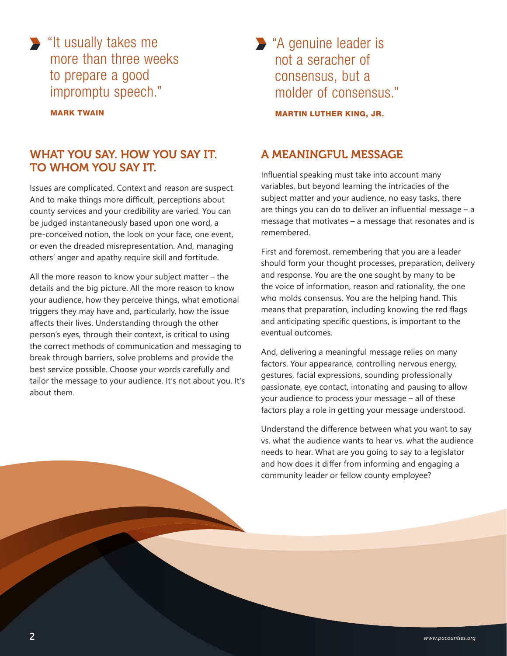"It usually takes me more than three weeks to prepare a good impromptu speech."

MARK TWAIN

## WHAT YOU SAY. HOW YOU SAY IT. TO WHOM YOU SAY IT.

Issues are complicated. Context and reason are suspect. And to make things more difficult, perceptions about county services and your credibility are varied. You can be judged instantaneously based upon one word, a pre-conceived notion, the look on your face, one event, or even the dreaded misrepresentation. And, managing others' anger and apathy require skill and fortitude.

All the more reason to know your subject matter – the details and the big picture. All the more reason to know your audience, how they perceive things, what emotional triggers they may have and, particularly, how the issue affects their lives. Understanding through the other person's eyes, through their context, is critical to using the correct methods of communication and messaging to break through barriers, solve problems and provide the best service possible. Choose your words carefully and tailor the message to your audience. It's not about you. It's about them.

"A genuine leader is not a seracher of consensus, but a molder of consensus."

MARTIN LUTHER KING, JR.

### A MEANINGFUL MESSAGE

Influential speaking must take into account many variables, but beyond learning the intricacies of the subject matter and your audience, no easy tasks, there are things you can do to deliver an influential message – a message that motivates – a message that resonates and is remembered.

First and foremost, remembering that you are a leader should form your thought processes, preparation, delivery and response. You are the one sought by many to be the voice of information, reason and rationality, the one who molds consensus. You are the helping hand. This means that preparation, including knowing the red flags and anticipating specific questions, is important to the eventual outcomes.

And, delivering a meaningful message relies on many factors. Your appearance, controlling nervous energy, gestures, facial expressions, sounding professionally passionate, eye contact, intonating and pausing to allow your audience to process your message – all of these factors play a role in getting your message understood.

Understand the difference between what you want to say vs. what the audience wants to hear vs. what the audience needs to hear. What are you going to say to a legislator and how does it differ from informing and engaging a community leader or fellow county employee?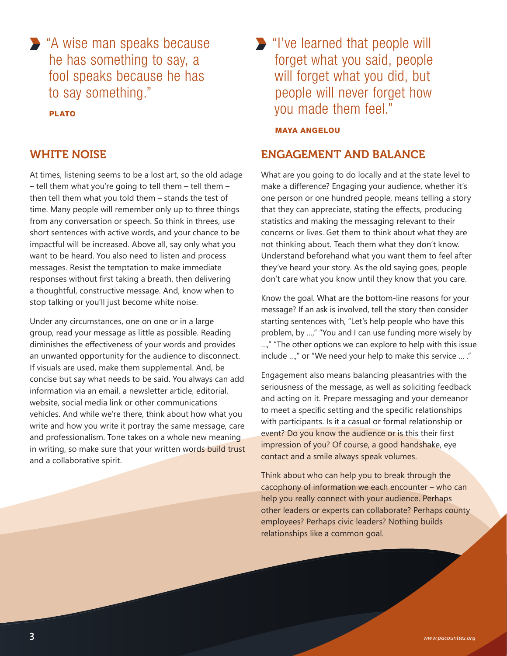"A wise man speaks because he has something to say, a fool speaks because he has to say something."

PLATO

#### WHITE NOISE

At times, listening seems to be a lost art, so the old adage – tell them what you're going to tell them – tell them – then tell them what you told them – stands the test of time. Many people will remember only up to three things from any conversation or speech. So think in threes, use short sentences with active words, and your chance to be impactful will be increased. Above all, say only what you want to be heard. You also need to listen and process messages. Resist the temptation to make immediate responses without first taking a breath, then delivering a thoughtful, constructive message. And, know when to stop talking or you'll just become white noise.

Under any circumstances, one on one or in a large group, read your message as little as possible. Reading diminishes the effectiveness of your words and provides an unwanted opportunity for the audience to disconnect. If visuals are used, make them supplemental. And, be concise but say what needs to be said. You always can add information via an email, a newsletter article, editorial, website, social media link or other communications vehicles. And while we're there, think about how what you write and how you write it portray the same message, care and professionalism. Tone takes on a whole new meaning in writing, so make sure that your written words build trust and a collaborative spirit.

"I've learned that people will forget what you said, people will forget what you did, but people will never forget how you made them feel."

#### MAYA ANGELOU

#### ENGAGEMENT AND BALANCE

What are you going to do locally and at the state level to make a difference? Engaging your audience, whether it's one person or one hundred people, means telling a story that they can appreciate, stating the effects, producing statistics and making the messaging relevant to their concerns or lives. Get them to think about what they are not thinking about. Teach them what they don't know. Understand beforehand what you want them to feel after they've heard your story. As the old saying goes, people don't care what you know until they know that you care.

Know the goal. What are the bottom-line reasons for your message? If an ask is involved, tell the story then consider starting sentences with, "Let's help people who have this problem, by …," "You and I can use funding more wisely by …," "The other options we can explore to help with this issue include …," or "We need your help to make this service … ."

Engagement also means balancing pleasantries with the seriousness of the message, as well as soliciting feedback and acting on it. Prepare messaging and your demeanor to meet a specific setting and the specific relationships with participants. Is it a casual or formal relationship or event? Do you know the audience or is this their first impression of you? Of course, a good handshake, eye contact and a smile always speak volumes.

Think about who can help you to break through the cacophony of information we each encounter – who can help you really connect with your audience. Perhaps other leaders or experts can collaborate? Perhaps county employees? Perhaps civic leaders? Nothing builds relationships like a common goal.